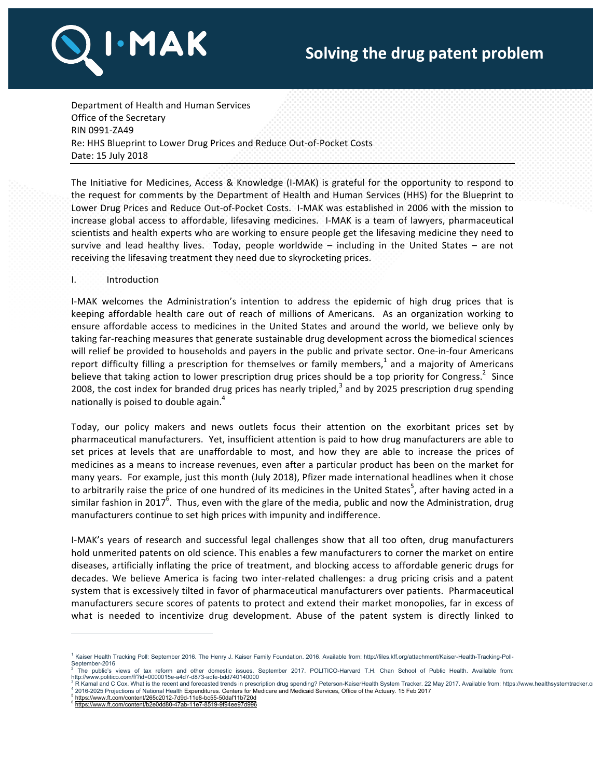

Department of Health and Human Services Office of the Secretary RIN 0991-ZA49 Re: HHS Blueprint to Lower Drug Prices and Reduce Out-of-Pocket Costs Date: 15 July 2018

The Initiative for Medicines, Access & Knowledge (I-MAK) is grateful for the opportunity to respond to the request for comments by the Department of Health and Human Services (HHS) for the Blueprint to Lower Drug Prices and Reduce Out-of-Pocket Costs. I-MAK was established in 2006 with the mission to increase global access to affordable, lifesaving medicines. I-MAK is a team of lawyers, pharmaceutical scientists and health experts who are working to ensure people get the lifesaving medicine they need to survive and lead healthy lives. Today, people worldwide  $-$  including in the United States  $-$  are not receiving the lifesaving treatment they need due to skyrocketing prices.

### I. Introduction

I-MAK welcomes the Administration's intention to address the epidemic of high drug prices that is keeping affordable health care out of reach of millions of Americans. As an organization working to ensure affordable access to medicines in the United States and around the world, we believe only by taking far-reaching measures that generate sustainable drug development across the biomedical sciences will relief be provided to households and payers in the public and private sector. One-in-four Americans report difficulty filling a prescription for themselves or family members,<sup>1</sup> and a majority of Americans believe that taking action to lower prescription drug prices should be a top priority for Congress.<sup>2</sup> Since 2008, the cost index for branded drug prices has nearly tripled, $3$  and by 2025 prescription drug spending nationally is poised to double again. $4$ 

Today, our policy makers and news outlets focus their attention on the exorbitant prices set by pharmaceutical manufacturers. Yet, insufficient attention is paid to how drug manufacturers are able to set prices at levels that are unaffordable to most, and how they are able to increase the prices of medicines as a means to increase revenues, even after a particular product has been on the market for many years. For example, just this month (July 2018), Pfizer made international headlines when it chose to arbitrarily raise the price of one hundred of its medicines in the United States<sup>5</sup>, after having acted in a similar fashion in 2017<sup>6</sup>. Thus, even with the glare of the media, public and now the Administration, drug manufacturers continue to set high prices with impunity and indifference.

I-MAK's years of research and successful legal challenges show that all too often, drug manufacturers hold unmerited patents on old science. This enables a few manufacturers to corner the market on entire diseases, artificially inflating the price of treatment, and blocking access to affordable generic drugs for decades. We believe America is facing two inter-related challenges: a drug pricing crisis and a patent system that is excessively tilted in favor of pharmaceutical manufacturers over patients. Pharmaceutical manufacturers secure scores of patents to protect and extend their market monopolies, far in excess of what is needed to incentivize drug development. Abuse of the patent system is directly linked to

<sup>2</sup> The public's views of tax reform and other domestic issues. September 2017. POLITICO-Harvard T.H. Chan School of Public Health. Available from:<br>http://www.politico.com/f/?id=0000015e-a4d7-d873-adfe-bdd740140000

 

<sup>&</sup>lt;sup>1</sup> Kaiser Health Tracking Poll: September 2016. The Henry J. Kaiser Family Foundation. 2016. Available from: http://files.kff.org/attachment/Kaiser-Health-Tracking-Poll-<br>September-2016

R Kamal and C Cox. What is the recent and forecasted trends in prescription drug spending? Peterson-KaiserHealth System Tracker. 22 May 2017. Available from: https://www.healthsystemtracker.or<br>2016-2025 Projections of Nati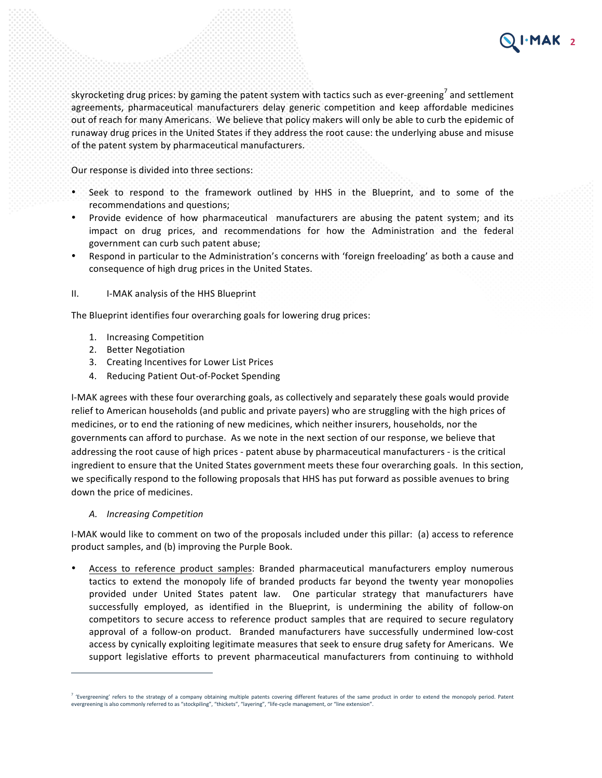

skyrocketing drug prices: by gaming the patent system with tactics such as ever-greening<sup>7</sup> and settlement agreements, pharmaceutical manufacturers delay generic competition and keep affordable medicines out of reach for many Americans. We believe that policy makers will only be able to curb the epidemic of runaway drug prices in the United States if they address the root cause: the underlying abuse and misuse of the patent system by pharmaceutical manufacturers.

Our response is divided into three sections:

- Seek to respond to the framework outlined by HHS in the Blueprint, and to some of the recommendations and questions;
- Provide evidence of how pharmaceutical manufacturers are abusing the patent system; and its impact on drug prices, and recommendations for how the Administration and the federal government can curb such patent abuse;
- Respond in particular to the Administration's concerns with 'foreign freeloading' as both a cause and consequence of high drug prices in the United States.

# II. I-MAK analysis of the HHS Blueprint

The Blueprint identifies four overarching goals for lowering drug prices:

- 1. Increasing Competition
- 2. Better Negotiation
- 3. Creating Incentives for Lower List Prices
- 4. Reducing Patient Out-of-Pocket Spending

I-MAK agrees with these four overarching goals, as collectively and separately these goals would provide relief to American households (and public and private payers) who are struggling with the high prices of medicines, or to end the rationing of new medicines, which neither insurers, households, nor the governments can afford to purchase. As we note in the next section of our response, we believe that addressing the root cause of high prices - patent abuse by pharmaceutical manufacturers - is the critical ingredient to ensure that the United States government meets these four overarching goals. In this section, we specifically respond to the following proposals that HHS has put forward as possible avenues to bring down the price of medicines.

## *A. Increasing Competition*

<u> 1989 - Johann Stein, marwolaethau a bhann an t-Amhair Aonaich an t-Amhair Aonaich an t-Amhair Aonaich an t-A</u>

I-MAK would like to comment on two of the proposals included under this pillar: (a) access to reference product samples, and (b) improving the Purple Book.

Access to reference product samples: Branded pharmaceutical manufacturers employ numerous tactics to extend the monopoly life of branded products far beyond the twenty year monopolies provided under United States patent law. One particular strategy that manufacturers have successfully employed, as identified in the Blueprint, is undermining the ability of follow-on competitors to secure access to reference product samples that are required to secure regulatory approval of a follow-on product. Branded manufacturers have successfully undermined low-cost access by cynically exploiting legitimate measures that seek to ensure drug safety for Americans. We support legislative efforts to prevent pharmaceutical manufacturers from continuing to withhold

 $^7$  'Evergreening' refers to the strategy of a company obtaining multiple patents covering different features of the same product in order to extend the monopoly period. Patent evergreening is also commonly referred to as "stockpiling", "thickets", "layering", "life-cycle management, or "line extension'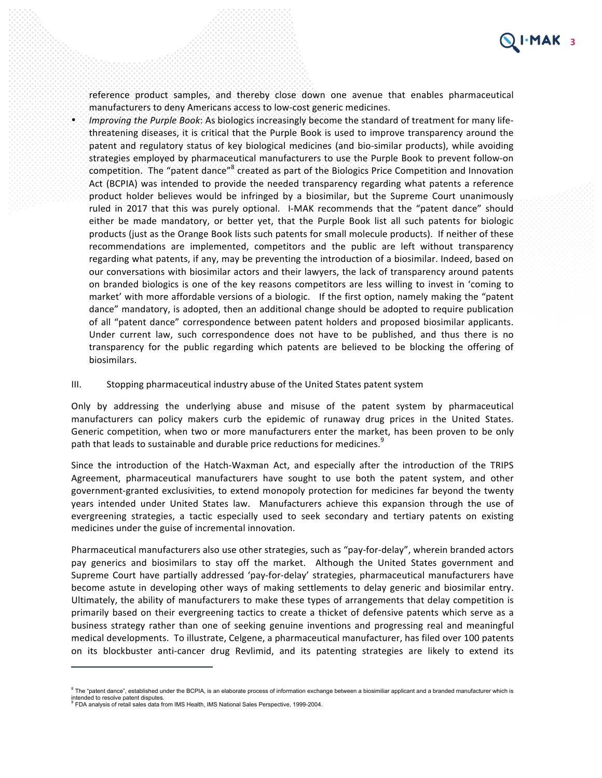reference product samples, and thereby close down one avenue that enables pharmaceutical manufacturers to deny Americans access to low-cost generic medicines.

*Improving the Purple Book:* As biologics increasingly become the standard of treatment for many lifethreatening diseases, it is critical that the Purple Book is used to improve transparency around the patent and regulatory status of key biological medicines (and bio-similar products), while avoiding strategies employed by pharmaceutical manufacturers to use the Purple Book to prevent follow-on competition. The "patent dance"<sup>8</sup> created as part of the Biologics Price Competition and Innovation Act (BCPIA) was intended to provide the needed transparency regarding what patents a reference product holder believes would be infringed by a biosimilar, but the Supreme Court unanimously ruled in 2017 that this was purely optional. I-MAK recommends that the "patent dance" should either be made mandatory, or better yet, that the Purple Book list all such patents for biologic products (just as the Orange Book lists such patents for small molecule products). If neither of these recommendations are implemented, competitors and the public are left without transparency regarding what patents, if any, may be preventing the introduction of a biosimilar. Indeed, based on our conversations with biosimilar actors and their lawyers, the lack of transparency around patents on branded biologics is one of the key reasons competitors are less willing to invest in 'coming to market' with more affordable versions of a biologic. If the first option, namely making the "patent dance" mandatory, is adopted, then an additional change should be adopted to require publication of all "patent dance" correspondence between patent holders and proposed biosimilar applicants. Under current law, such correspondence does not have to be published, and thus there is no transparency for the public regarding which patents are believed to be blocking the offering of biosimilars. 

## III. Stopping pharmaceutical industry abuse of the United States patent system

Only by addressing the underlying abuse and misuse of the patent system by pharmaceutical manufacturers can policy makers curb the epidemic of runaway drug prices in the United States. Generic competition, when two or more manufacturers enter the market, has been proven to be only path that leads to sustainable and durable price reductions for medicines.<sup>9</sup>

Since the introduction of the Hatch-Waxman Act, and especially after the introduction of the TRIPS Agreement, pharmaceutical manufacturers have sought to use both the patent system, and other government-granted exclusivities, to extend monopoly protection for medicines far beyond the twenty years intended under United States law. Manufacturers achieve this expansion through the use of evergreening strategies, a tactic especially used to seek secondary and tertiary patents on existing medicines under the guise of incremental innovation.

Pharmaceutical manufacturers also use other strategies, such as "pay-for-delay", wherein branded actors pay generics and biosimilars to stay off the market. Although the United States government and Supreme Court have partially addressed 'pay-for-delay' strategies, pharmaceutical manufacturers have become astute in developing other ways of making settlements to delay generic and biosimilar entry. Ultimately, the ability of manufacturers to make these types of arrangements that delay competition is primarily based on their evergreening tactics to create a thicket of defensive patents which serve as a business strategy rather than one of seeking genuine inventions and progressing real and meaningful medical developments. To illustrate, Celgene, a pharmaceutical manufacturer, has filed over 100 patents on its blockbuster anti-cancer drug Revlimid, and its patenting strategies are likely to extend its

<u> 1989 - Johann Stein, marwolaethau a bhann an t-Amhair Aonaich an t-Amhair Aonaich an t-Amhair Aonaich an t-A</u>

The "patent dance", established under the BCPIA, is an elaborate process of information exchange between a biosimiliar applicant and a branded manufacturer which is intended to resolve patent disputes.<br><sup>9</sup> FDA analysis of retail sales data from IMS Health, IMS National Sales Perspective, 1999-2004.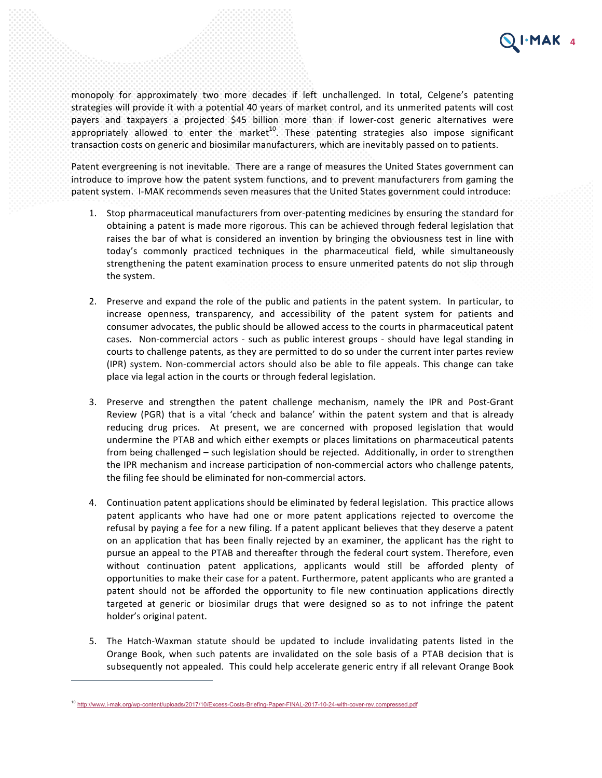

monopoly for approximately two more decades if left unchallenged. In total, Celgene's patenting strategies will provide it with a potential 40 years of market control, and its unmerited patents will cost payers and taxpayers a projected \$45 billion more than if lower-cost generic alternatives were appropriately allowed to enter the market<sup>10</sup>. These patenting strategies also impose significant transaction costs on generic and biosimilar manufacturers, which are inevitably passed on to patients.

Patent evergreening is not inevitable. There are a range of measures the United States government can introduce to improve how the patent system functions, and to prevent manufacturers from gaming the patent system. I-MAK recommends seven measures that the United States government could introduce:

- 1. Stop pharmaceutical manufacturers from over-patenting medicines by ensuring the standard for obtaining a patent is made more rigorous. This can be achieved through federal legislation that raises the bar of what is considered an invention by bringing the obviousness test in line with today's commonly practiced techniques in the pharmaceutical field, while simultaneously strengthening the patent examination process to ensure unmerited patents do not slip through the system.
- 2. Preserve and expand the role of the public and patients in the patent system. In particular, to increase openness, transparency, and accessibility of the patent system for patients and consumer advocates, the public should be allowed access to the courts in pharmaceutical patent cases. Non-commercial actors - such as public interest groups - should have legal standing in courts to challenge patents, as they are permitted to do so under the current inter partes review (IPR) system. Non-commercial actors should also be able to file appeals. This change can take place via legal action in the courts or through federal legislation.
- 3. Preserve and strengthen the patent challenge mechanism, namely the IPR and Post-Grant Review (PGR) that is a vital 'check and balance' within the patent system and that is already reducing drug prices. At present, we are concerned with proposed legislation that would undermine the PTAB and which either exempts or places limitations on pharmaceutical patents from being challenged – such legislation should be rejected. Additionally, in order to strengthen the IPR mechanism and increase participation of non-commercial actors who challenge patents, the filing fee should be eliminated for non-commercial actors.
- 4. Continuation patent applications should be eliminated by federal legislation. This practice allows patent applicants who have had one or more patent applications rejected to overcome the refusal by paying a fee for a new filing. If a patent applicant believes that they deserve a patent on an application that has been finally rejected by an examiner, the applicant has the right to pursue an appeal to the PTAB and thereafter through the federal court system. Therefore, even without continuation patent applications, applicants would still be afforded plenty of opportunities to make their case for a patent. Furthermore, patent applicants who are granted a patent should not be afforded the opportunity to file new continuation applications directly targeted at generic or biosimilar drugs that were designed so as to not infringe the patent holder's original patent.
- 5. The Hatch-Waxman statute should be updated to include invalidating patents listed in the Orange Book, when such patents are invalidated on the sole basis of a PTAB decision that is subsequently not appealed. This could help accelerate generic entry if all relevant Orange Book

<u> 1989 - Johann Stein, marwolaethau a bhann an t-Amhair Aonaich an t-Amhair Aonaich an t-Amhair Aonaich an t-A</u>

<sup>10</sup> http://www.i-mak.org/wp-content/uploads/2017/10/Excess-Costs-Briefing-Paper-FINAL-2017-10-24-with-cover-rev.compressed.pdf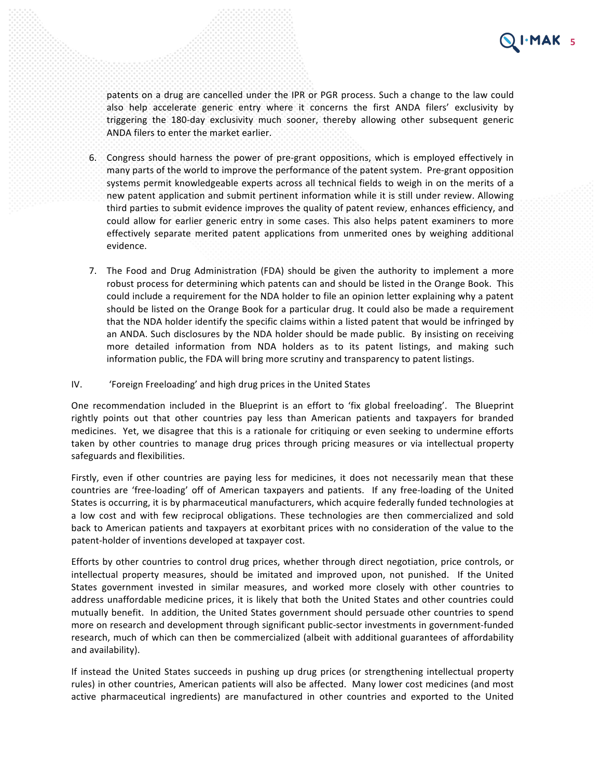patents on a drug are cancelled under the IPR or PGR process. Such a change to the law could also help accelerate generic entry where it concerns the first ANDA filers' exclusivity by triggering the 180-day exclusivity much sooner, thereby allowing other subsequent generic ANDA filers to enter the market earlier.

- 6. Congress should harness the power of pre-grant oppositions, which is employed effectively in many parts of the world to improve the performance of the patent system. Pre-grant opposition systems permit knowledgeable experts across all technical fields to weigh in on the merits of a new patent application and submit pertinent information while it is still under review. Allowing third parties to submit evidence improves the quality of patent review, enhances efficiency, and could allow for earlier generic entry in some cases. This also helps patent examiners to more effectively separate merited patent applications from unmerited ones by weighing additional evidence.
- 7. The Food and Drug Administration (FDA) should be given the authority to implement a more robust process for determining which patents can and should be listed in the Orange Book. This could include a requirement for the NDA holder to file an opinion letter explaining why a patent should be listed on the Orange Book for a particular drug. It could also be made a requirement that the NDA holder identify the specific claims within a listed patent that would be infringed by an ANDA. Such disclosures by the NDA holder should be made public. By insisting on receiving more detailed information from NDA holders as to its patent listings, and making such information public, the FDA will bring more scrutiny and transparency to patent listings.
- IV. "Foreign Freeloading' and high drug prices in the United States

One recommendation included in the Blueprint is an effort to 'fix global freeloading'. The Blueprint rightly points out that other countries pay less than American patients and taxpayers for branded medicines. Yet, we disagree that this is a rationale for critiquing or even seeking to undermine efforts taken by other countries to manage drug prices through pricing measures or via intellectual property safeguards and flexibilities.

Firstly, even if other countries are paying less for medicines, it does not necessarily mean that these countries are 'free-loading' off of American taxpayers and patients. If any free-loading of the United States is occurring, it is by pharmaceutical manufacturers, which acquire federally funded technologies at a low cost and with few reciprocal obligations. These technologies are then commercialized and sold back to American patients and taxpayers at exorbitant prices with no consideration of the value to the patent-holder of inventions developed at taxpayer cost.

Efforts by other countries to control drug prices, whether through direct negotiation, price controls, or intellectual property measures, should be imitated and improved upon, not punished. If the United States government invested in similar measures, and worked more closely with other countries to address unaffordable medicine prices, it is likely that both the United States and other countries could mutually benefit. In addition, the United States government should persuade other countries to spend more on research and development through significant public-sector investments in government-funded research, much of which can then be commercialized (albeit with additional guarantees of affordability and availability).

If instead the United States succeeds in pushing up drug prices (or strengthening intellectual property rules) in other countries, American patients will also be affected. Many lower cost medicines (and most active pharmaceutical ingredients) are manufactured in other countries and exported to the United